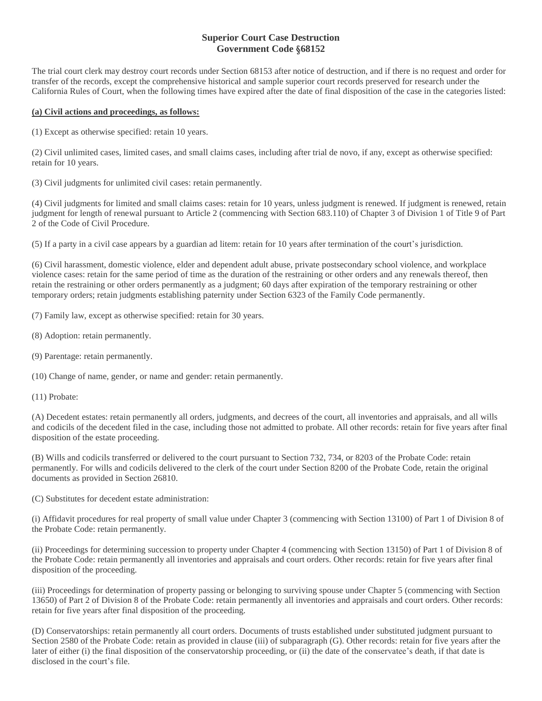# **Superior Court Case Destruction Government Code §68152**

The trial court clerk may destroy court records under Section 68153 after notice of destruction, and if there is no request and order for transfer of the records, except the comprehensive historical and sample superior court records preserved for research under the California Rules of Court, when the following times have expired after the date of final disposition of the case in the categories listed:

## **(a) Civil actions and proceedings, as follows:**

(1) Except as otherwise specified: retain 10 years.

(2) Civil unlimited cases, limited cases, and small claims cases, including after trial de novo, if any, except as otherwise specified: retain for 10 years.

(3) Civil judgments for unlimited civil cases: retain permanently.

(4) Civil judgments for limited and small claims cases: retain for 10 years, unless judgment is renewed. If judgment is renewed, retain judgment for length of renewal pursuant to Article 2 (commencing with Section 683.110) of Chapter 3 of Division 1 of Title 9 of Part 2 of the Code of Civil Procedure.

(5) If a party in a civil case appears by a guardian ad litem: retain for 10 years after termination of the court's jurisdiction.

(6) Civil harassment, domestic violence, elder and dependent adult abuse, private postsecondary school violence, and workplace violence cases: retain for the same period of time as the duration of the restraining or other orders and any renewals thereof, then retain the restraining or other orders permanently as a judgment; 60 days after expiration of the temporary restraining or other temporary orders; retain judgments establishing paternity under Section 6323 of the Family Code permanently.

(7) Family law, except as otherwise specified: retain for 30 years.

- (8) Adoption: retain permanently.
- (9) Parentage: retain permanently.

(10) Change of name, gender, or name and gender: retain permanently.

(11) Probate:

(A) Decedent estates: retain permanently all orders, judgments, and decrees of the court, all inventories and appraisals, and all wills and codicils of the decedent filed in the case, including those not admitted to probate. All other records: retain for five years after final disposition of the estate proceeding.

(B) Wills and codicils transferred or delivered to the court pursuant to Section 732, 734, or 8203 of the Probate Code: retain permanently. For wills and codicils delivered to the clerk of the court under Section 8200 of the Probate Code, retain the original documents as provided in Section 26810.

(C) Substitutes for decedent estate administration:

(i) Affidavit procedures for real property of small value under Chapter 3 (commencing with Section 13100) of Part 1 of Division 8 of the Probate Code: retain permanently.

(ii) Proceedings for determining succession to property under Chapter 4 (commencing with Section 13150) of Part 1 of Division 8 of the Probate Code: retain permanently all inventories and appraisals and court orders. Other records: retain for five years after final disposition of the proceeding.

(iii) Proceedings for determination of property passing or belonging to surviving spouse under Chapter 5 (commencing with Section 13650) of Part 2 of Division 8 of the Probate Code: retain permanently all inventories and appraisals and court orders. Other records: retain for five years after final disposition of the proceeding.

(D) Conservatorships: retain permanently all court orders. Documents of trusts established under substituted judgment pursuant to Section 2580 of the Probate Code: retain as provided in clause (iii) of subparagraph (G). Other records: retain for five years after the later of either (i) the final disposition of the conservatorship proceeding, or (ii) the date of the conservatee's death, if that date is disclosed in the court's file.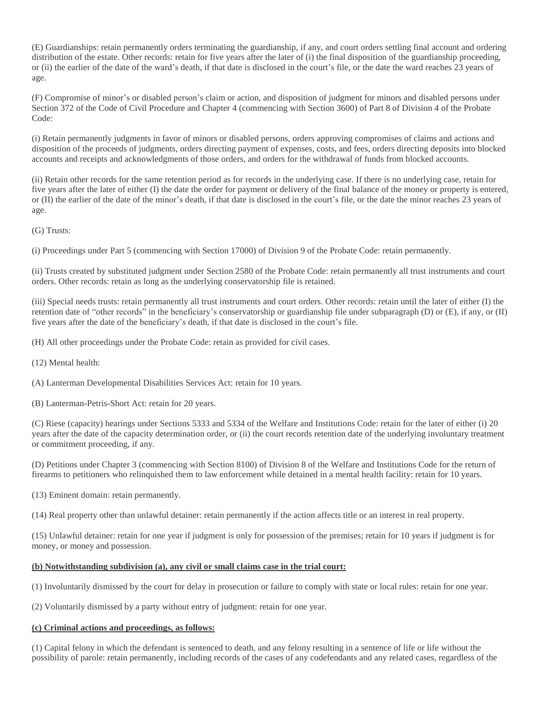(E) Guardianships: retain permanently orders terminating the guardianship, if any, and court orders settling final account and ordering distribution of the estate. Other records: retain for five years after the later of (i) the final disposition of the guardianship proceeding, or (ii) the earlier of the date of the ward's death, if that date is disclosed in the court's file, or the date the ward reaches 23 years of age.

(F) Compromise of minor's or disabled person's claim or action, and disposition of judgment for minors and disabled persons under Section 372 of the Code of Civil Procedure and Chapter 4 (commencing with Section 3600) of Part 8 of Division 4 of the Probate Code:

(i) Retain permanently judgments in favor of minors or disabled persons, orders approving compromises of claims and actions and disposition of the proceeds of judgments, orders directing payment of expenses, costs, and fees, orders directing deposits into blocked accounts and receipts and acknowledgments of those orders, and orders for the withdrawal of funds from blocked accounts.

(ii) Retain other records for the same retention period as for records in the underlying case. If there is no underlying case, retain for five years after the later of either (I) the date the order for payment or delivery of the final balance of the money or property is entered, or (II) the earlier of the date of the minor's death, if that date is disclosed in the court's file, or the date the minor reaches 23 years of age.

(G) Trusts:

(i) Proceedings under Part 5 (commencing with Section 17000) of Division 9 of the Probate Code: retain permanently.

(ii) Trusts created by substituted judgment under Section 2580 of the Probate Code: retain permanently all trust instruments and court orders. Other records: retain as long as the underlying conservatorship file is retained.

(iii) Special needs trusts: retain permanently all trust instruments and court orders. Other records: retain until the later of either (I) the retention date of "other records" in the beneficiary's conservatorship or guardianship file under subparagraph (D) or (E), if any, or (II) five years after the date of the beneficiary's death, if that date is disclosed in the court's file.

(H) All other proceedings under the Probate Code: retain as provided for civil cases.

(12) Mental health:

(A) Lanterman Developmental Disabilities Services Act: retain for 10 years.

(B) Lanterman-Petris-Short Act: retain for 20 years.

(C) Riese (capacity) hearings under Sections 5333 and 5334 of the Welfare and Institutions Code: retain for the later of either (i) 20 years after the date of the capacity determination order, or (ii) the court records retention date of the underlying involuntary treatment or commitment proceeding, if any.

(D) Petitions under Chapter 3 (commencing with Section 8100) of Division 8 of the Welfare and Institutions Code for the return of firearms to petitioners who relinquished them to law enforcement while detained in a mental health facility: retain for 10 years.

(13) Eminent domain: retain permanently.

(14) Real property other than unlawful detainer: retain permanently if the action affects title or an interest in real property.

(15) Unlawful detainer: retain for one year if judgment is only for possession of the premises; retain for 10 years if judgment is for money, or money and possession.

## **(b) Notwithstanding subdivision (a), any civil or small claims case in the trial court:**

(1) Involuntarily dismissed by the court for delay in prosecution or failure to comply with state or local rules: retain for one year.

(2) Voluntarily dismissed by a party without entry of judgment: retain for one year.

#### **(c) Criminal actions and proceedings, as follows:**

(1) Capital felony in which the defendant is sentenced to death, and any felony resulting in a sentence of life or life without the possibility of parole: retain permanently, including records of the cases of any codefendants and any related cases, regardless of the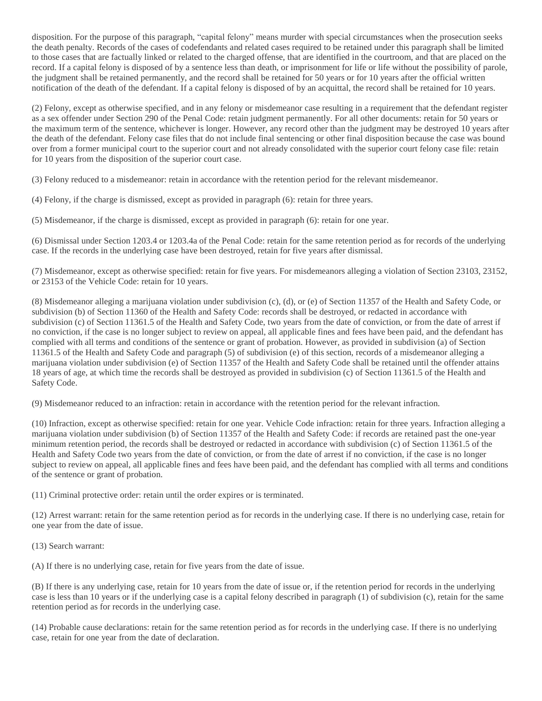disposition. For the purpose of this paragraph, "capital felony" means murder with special circumstances when the prosecution seeks the death penalty. Records of the cases of codefendants and related cases required to be retained under this paragraph shall be limited to those cases that are factually linked or related to the charged offense, that are identified in the courtroom, and that are placed on the record. If a capital felony is disposed of by a sentence less than death, or imprisonment for life or life without the possibility of parole, the judgment shall be retained permanently, and the record shall be retained for 50 years or for 10 years after the official written notification of the death of the defendant. If a capital felony is disposed of by an acquittal, the record shall be retained for 10 years.

(2) Felony, except as otherwise specified, and in any felony or misdemeanor case resulting in a requirement that the defendant register as a sex offender under Section 290 of the Penal Code: retain judgment permanently. For all other documents: retain for 50 years or the maximum term of the sentence, whichever is longer. However, any record other than the judgment may be destroyed 10 years after the death of the defendant. Felony case files that do not include final sentencing or other final disposition because the case was bound over from a former municipal court to the superior court and not already consolidated with the superior court felony case file: retain for 10 years from the disposition of the superior court case.

(3) Felony reduced to a misdemeanor: retain in accordance with the retention period for the relevant misdemeanor.

(4) Felony, if the charge is dismissed, except as provided in paragraph (6): retain for three years.

(5) Misdemeanor, if the charge is dismissed, except as provided in paragraph (6): retain for one year.

(6) Dismissal under Section 1203.4 or 1203.4a of the Penal Code: retain for the same retention period as for records of the underlying case. If the records in the underlying case have been destroyed, retain for five years after dismissal.

(7) Misdemeanor, except as otherwise specified: retain for five years. For misdemeanors alleging a violation of Section 23103, 23152, or 23153 of the Vehicle Code: retain for 10 years.

(8) Misdemeanor alleging a marijuana violation under subdivision (c), (d), or (e) of Section 11357 of the Health and Safety Code, or subdivision (b) of Section 11360 of the Health and Safety Code: records shall be destroyed, or redacted in accordance with subdivision (c) of Section 11361.5 of the Health and Safety Code, two years from the date of conviction, or from the date of arrest if no conviction, if the case is no longer subject to review on appeal, all applicable fines and fees have been paid, and the defendant has complied with all terms and conditions of the sentence or grant of probation. However, as provided in subdivision (a) of Section 11361.5 of the Health and Safety Code and paragraph (5) of subdivision (e) of this section, records of a misdemeanor alleging a marijuana violation under subdivision (e) of Section 11357 of the Health and Safety Code shall be retained until the offender attains 18 years of age, at which time the records shall be destroyed as provided in subdivision (c) of Section 11361.5 of the Health and Safety Code.

(9) Misdemeanor reduced to an infraction: retain in accordance with the retention period for the relevant infraction.

(10) Infraction, except as otherwise specified: retain for one year. Vehicle Code infraction: retain for three years. Infraction alleging a marijuana violation under subdivision (b) of Section 11357 of the Health and Safety Code: if records are retained past the one-year minimum retention period, the records shall be destroyed or redacted in accordance with subdivision (c) of Section 11361.5 of the Health and Safety Code two years from the date of conviction, or from the date of arrest if no conviction, if the case is no longer subject to review on appeal, all applicable fines and fees have been paid, and the defendant has complied with all terms and conditions of the sentence or grant of probation.

(11) Criminal protective order: retain until the order expires or is terminated.

(12) Arrest warrant: retain for the same retention period as for records in the underlying case. If there is no underlying case, retain for one year from the date of issue.

(13) Search warrant:

(A) If there is no underlying case, retain for five years from the date of issue.

(B) If there is any underlying case, retain for 10 years from the date of issue or, if the retention period for records in the underlying case is less than 10 years or if the underlying case is a capital felony described in paragraph (1) of subdivision (c), retain for the same retention period as for records in the underlying case.

(14) Probable cause declarations: retain for the same retention period as for records in the underlying case. If there is no underlying case, retain for one year from the date of declaration.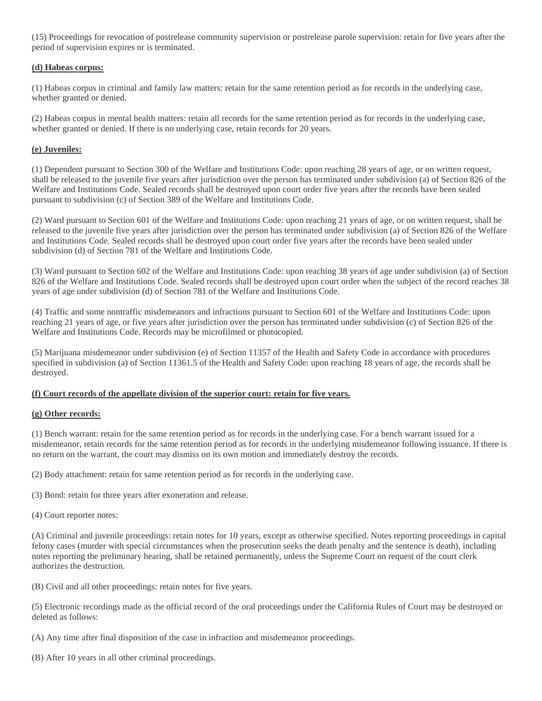(15) Proceedings for revocation of postrelease community supervision or postrelease parole supervision: retain for five years after the period of supervision expires or is terminated.

## **(d) Habeas corpus:**

(1) Habeas corpus in criminal and family law matters: retain for the same retention period as for records in the underlying case, whether granted or denied.

(2) Habeas corpus in mental health matters: retain all records for the same retention period as for records in the underlying case, whether granted or denied. If there is no underlying case, retain records for 20 years.

#### **(e) Juveniles:**

(1) Dependent pursuant to Section 300 of the Welfare and Institutions Code: upon reaching 28 years of age, or on written request, shall be released to the juvenile five years after jurisdiction over the person has terminated under subdivision (a) of Section 826 of the Welfare and Institutions Code. Sealed records shall be destroyed upon court order five years after the records have been sealed pursuant to subdivision (c) of Section 389 of the Welfare and Institutions Code.

(2) Ward pursuant to Section 601 of the Welfare and Institutions Code: upon reaching 21 years of age, or on written request, shall be released to the juvenile five years after jurisdiction over the person has terminated under subdivision (a) of Section 826 of the Welfare and Institutions Code. Sealed records shall be destroyed upon court order five years after the records have been sealed under subdivision (d) of Section 781 of the Welfare and Institutions Code.

(3) Ward pursuant to Section 602 of the Welfare and Institutions Code: upon reaching 38 years of age under subdivision (a) of Section 826 of the Welfare and Institutions Code. Sealed records shall be destroyed upon court order when the subject of the record reaches 38 years of age under subdivision (d) of Section 781 of the Welfare and Institutions Code.

(4) Traffic and some nontraffic misdemeanors and infractions pursuant to Section 601 of the Welfare and Institutions Code: upon reaching 21 years of age, or five years after jurisdiction over the person has terminated under subdivision (c) of Section 826 of the Welfare and Institutions Code. Records may be microfilmed or photocopied.

(5) Marijuana misdemeanor under subdivision (e) of Section 11357 of the Health and Safety Code in accordance with procedures specified in subdivision (a) of Section 11361.5 of the Health and Safety Code: upon reaching 18 years of age, the records shall be destroyed.

## **(f) Court records of the appellate division of the superior court: retain for five years.**

## **(g) Other records:**

(1) Bench warrant: retain for the same retention period as for records in the underlying case. For a bench warrant issued for a misdemeanor, retain records for the same retention period as for records in the underlying misdemeanor following issuance. If there is no return on the warrant, the court may dismiss on its own motion and immediately destroy the records.

(2) Body attachment: retain for same retention period as for records in the underlying case.

(3) Bond: retain for three years after exoneration and release.

(4) Court reporter notes:

(A) Criminal and juvenile proceedings: retain notes for 10 years, except as otherwise specified. Notes reporting proceedings in capital felony cases (murder with special circumstances when the prosecution seeks the death penalty and the sentence is death), including notes reporting the preliminary hearing, shall be retained permanently, unless the Supreme Court on request of the court clerk authorizes the destruction.

(B) Civil and all other proceedings: retain notes for five years.

(5) Electronic recordings made as the official record of the oral proceedings under the California Rules of Court may be destroyed or deleted as follows:

(A) Any time after final disposition of the case in infraction and misdemeanor proceedings.

(B) After 10 years in all other criminal proceedings.